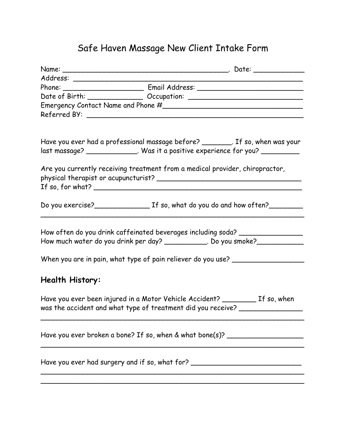## Safe Haven Massage New Client Intake Form

|                 | Date of Birth: Change Cocupation: Communication: Communication: Communication: Communication: Communication: Communication: Communication: Communication: Communication: Communication: Communication: Communication: Communic |
|-----------------|--------------------------------------------------------------------------------------------------------------------------------------------------------------------------------------------------------------------------------|
|                 |                                                                                                                                                                                                                                |
|                 |                                                                                                                                                                                                                                |
|                 | Have you ever had a professional massage before? _________. If so, when was your                                                                                                                                               |
|                 | last massage? _______________. Was it a positive experience for you? ___________                                                                                                                                               |
|                 | Are you currently receiving treatment from a medical provider, chiropractor,<br>If so, for what? $\overline{\phantom{a}}$                                                                                                      |
|                 |                                                                                                                                                                                                                                |
|                 | How often do you drink caffeinated beverages including soda? ___________________<br>How much water do you drink per day? ____________. Do you smoke?________________                                                           |
|                 | When you are in pain, what type of pain reliever do you use? ___________________                                                                                                                                               |
| Health History: |                                                                                                                                                                                                                                |
|                 | Have you ever been injured in a Motor Vehicle Accident? __________ If so, when<br>was the accident and what type of treatment did you receive? ___________________                                                             |
|                 | Have you ever broken a bone? If so, when & what bone(s)? $\sqrt{2}$                                                                                                                                                            |
|                 | Have you ever had surgery and if so, what for? _________________________________                                                                                                                                               |
|                 |                                                                                                                                                                                                                                |
|                 |                                                                                                                                                                                                                                |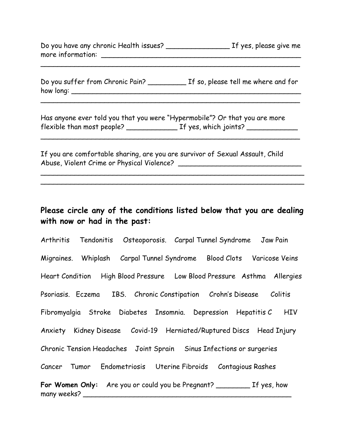Do you have any chronic Health issues? \_\_\_\_\_\_\_\_\_\_\_\_\_\_\_ If yes, please give me more information: \_\_\_\_\_\_\_\_\_\_\_\_\_\_\_\_\_\_\_\_\_\_\_\_\_\_\_\_\_\_\_\_\_\_\_\_\_\_\_\_\_\_\_\_\_\_\_

 $\sim$  . The contract of the contract of the contract of the contract of the contract of the contract of the contract of

Do you suffer from Chronic Pain? \_\_\_\_\_\_\_\_\_ If so, please tell me where and for how long: \_\_\_\_\_\_\_\_\_\_\_\_\_\_\_\_\_\_\_\_\_\_\_\_\_\_\_\_\_\_\_\_\_\_\_\_\_\_\_\_\_\_\_\_\_\_\_\_\_\_\_\_\_\_

\_\_\_\_\_\_\_\_\_\_\_\_\_\_\_\_\_\_\_\_\_\_\_\_\_\_\_\_\_\_\_\_\_\_\_\_\_\_\_\_\_\_\_\_\_\_\_\_\_\_\_\_\_\_\_\_\_\_\_\_\_

 $\_$ 

Has anyone ever told you that you were "Hypermobile"? Or that you are more flexible than most people? \_\_\_\_\_\_\_\_\_\_\_\_ If yes, which joints? \_\_\_\_\_\_\_\_\_\_\_\_

If you are comfortable sharing, are you are survivor of Sexual Assault, Child Abuse, Violent Crime or Physical Violence? \_\_\_\_\_\_\_\_\_\_\_\_\_\_\_\_\_\_\_\_\_\_\_\_\_\_\_\_\_

## **Please circle any of the conditions listed below that you are dealing with now or had in the past:**

 $\sim$  . The contract of the contract of the contract of the contract of the contract of the contract of the contract of \_\_\_\_\_\_\_\_\_\_\_\_\_\_\_\_\_\_\_\_\_\_\_\_\_\_\_\_\_\_\_\_\_\_\_\_\_\_\_\_\_\_\_\_\_\_\_\_\_\_\_\_\_\_\_\_\_\_\_\_\_\_

Arthritis Tendonitis Osteoporosis. Carpal Tunnel Syndrome Jaw Pain Migraines. Whiplash Carpal Tunnel Syndrome Blood Clots Varicose Veins Heart Condition High Blood Pressure Low Blood Pressure Asthma Allergies Psoriasis. Eczema IBS. Chronic Constipation Crohn's Disease Colitis Fibromyalgia Stroke Diabetes Insomnia. Depression Hepatitis C HIV Anxiety Kidney Disease Covid-19 Herniated/Ruptured Discs Head Injury Chronic Tension Headaches Joint Sprain Sinus Infections or surgeries Cancer Tumor Endometriosis Uterine Fibroids Contagious Rashes **For Women Only:** Are you or could you be Pregnant? \_\_\_\_\_\_\_\_ If yes, how many weeks? \_\_\_\_\_\_\_\_\_\_\_\_\_\_\_\_\_\_\_\_\_\_\_\_\_\_\_\_\_\_\_\_\_\_\_\_\_\_\_\_\_\_\_\_\_\_\_\_\_